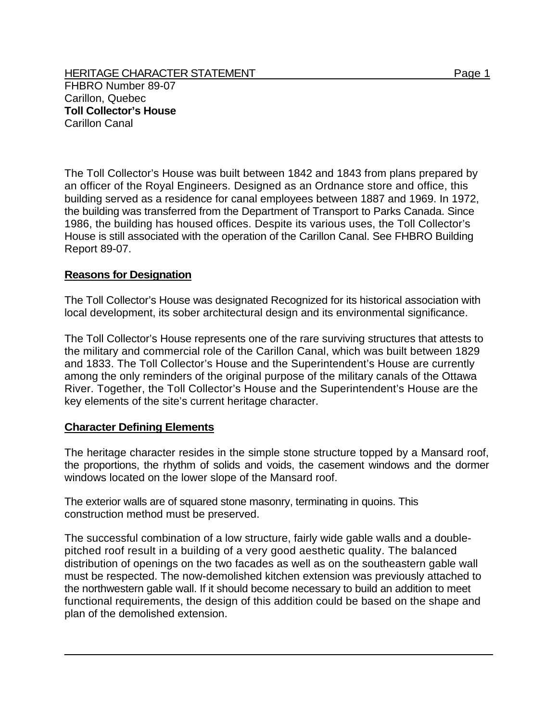HERITAGE CHARACTER STATEMENT FRIELD FOR A STATEMENT AND RAGE 1 FHBRO Number 89-07 Carillon, Quebec **Toll Collector's House**  Carillon Canal

The Toll Collector's House was built between 1842 and 1843 from plans prepared by an officer of the Royal Engineers. Designed as an Ordnance store and office, this building served as a residence for canal employees between 1887 and 1969. In 1972, the building was transferred from the Department of Transport to Parks Canada. Since 1986, the building has housed offices. Despite its various uses, the Toll Collector's House is still associated with the operation of the Carillon Canal. See FHBRO Building Report 89-07.

## **Reasons for Designation**

The Toll Collector's House was designated Recognized for its historical association with local development, its sober architectural design and its environmental significance.

The Toll Collector's House represents one of the rare surviving structures that attests to the military and commercial role of the Carillon Canal, which was built between 1829 and 1833. The Toll Collector's House and the Superintendent's House are currently among the only reminders of the original purpose of the military canals of the Ottawa River. Together, the Toll Collector's House and the Superintendent's House are the key elements of the site's current heritage character.

## **Character Defining Elements**

The heritage character resides in the simple stone structure topped by a Mansard roof, the proportions, the rhythm of solids and voids, the casement windows and the dormer windows located on the lower slope of the Mansard roof.

The exterior walls are of squared stone masonry, terminating in quoins. This construction method must be preserved.

The successful combination of a low structure, fairly wide gable walls and a doublepitched roof result in a building of a very good aesthetic quality. The balanced distribution of openings on the two facades as well as on the southeastern gable wall must be respected. The now-demolished kitchen extension was previously attached to the northwestern gable wall. If it should become necessary to build an addition to meet functional requirements, the design of this addition could be based on the shape and plan of the demolished extension.